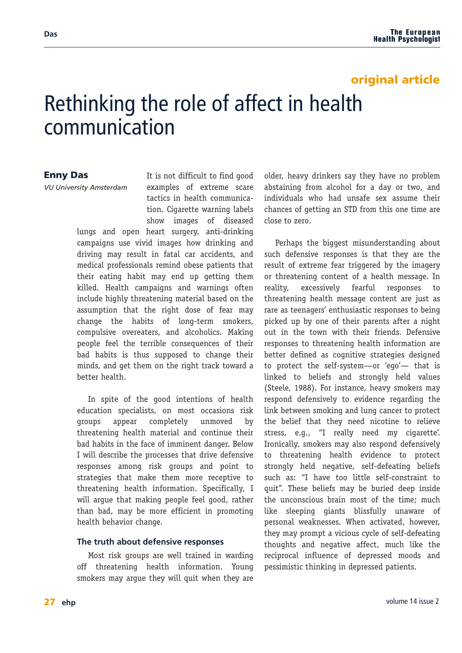## original article

# Rethinking the role of affect in health communication

### Enny Das

*VU University Amsterdam*

It is not difficult to find good examples of extreme scare tactics in health communication. Cigarette warning labels show images of diseased lungs and open heart surgery, anti-drinking campaigns use vivid images how drinking and driving may result in fatal car accidents, and

medical professionals remind obese patients that their eating habit may end up getting them killed. Health campaigns and warnings often include highly threatening material based on the assumption that the right dose of fear may change the habits of long-term smokers, compulsive overeaters, and alcoholics. Making people feel the terrible consequences of their bad habits is thus supposed to change their minds, and get them on the right track toward a better health.

In spite of the good intentions of health education specialists, on most occasions risk groups appear completely unmoved by threatening health material and continue their bad habits in the face of imminent danger. Below I will describe the processes that drive defensive responses among risk groups and point to strategies that make them more receptive to threatening health information. Specifically, I will argue that making people feel good, rather than bad, may be more efficient in promoting health behavior change.

### **The truth about defensive responses**

Most risk groups are well trained in warding off threatening health information. Young smokers may argue they will quit when they are

older, heavy drinkers say they have no problem abstaining from alcohol for a day or two, and individuals who had unsafe sex assume their chances of getting an STD from this one time are close to zero.

Perhaps the biggest misunderstanding about such defensive responses is that they are the result of extreme fear triggered by the imagery or threatening content of a health message. In reality, excessively fearful responses to threatening health message content are just as rare as teenagers' enthusiastic responses to being picked up by one of their parents after a night out in the town with their friends. Defensive responses to threatening health information are better defined as cognitive strategies designed to protect the self-system—or 'ego'— that is linked to beliefs and strongly held values (Steele, 1988). For instance, heavy smokers may respond defensively to evidence regarding the link between smoking and lung cancer to protect the belief that they need nicotine to relieve stress, e.g., "I really need my cigarette'. Ironically, smokers may also respond defensively to threatening health evidence to protect strongly held negative, self-defeating beliefs such as: "I have too little self-constraint to quit". These beliefs may be buried deep inside the unconscious brain most of the time; much like sleeping giants blissfully unaware of personal weaknesses. When activated, however, they may prompt a vicious cycle of self-defeating thoughts and negative affect, much like the reciprocal influence of depressed moods and pessimistic thinking in depressed patients.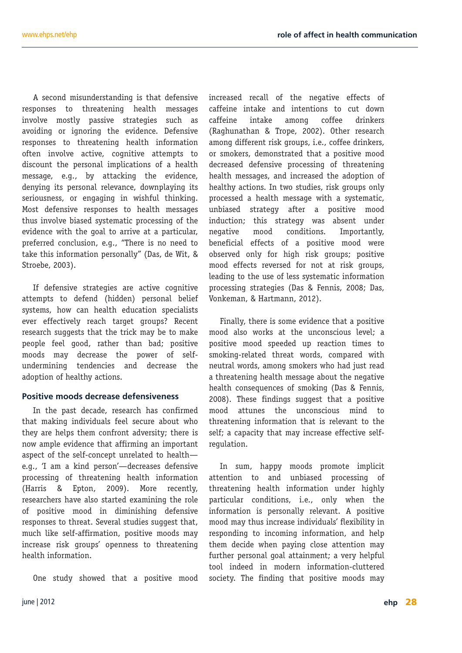A second misunderstanding is that defensive responses to threatening health messages involve mostly passive strategies such as avoiding or ignoring the evidence. Defensive responses to threatening health information often involve active, cognitive attempts to discount the personal implications of a health message, e.g., by attacking the evidence, denying its personal relevance, downplaying its seriousness, or engaging in wishful thinking. Most defensive responses to health messages thus involve biased systematic processing of the evidence with the goal to arrive at a particular, preferred conclusion, e.g., "There is no need to take this information personally" (Das, de Wit, & Stroebe, 2003).

If defensive strategies are active cognitive attempts to defend (hidden) personal belief systems, how can health education specialists ever effectively reach target groups? Recent research suggests that the trick may be to make people feel good, rather than bad; positive moods may decrease the power of selfundermining tendencies and decrease the adoption of healthy actions.

### **Positive moods decrease defensiveness**

In the past decade, research has confirmed that making individuals feel secure about who they are helps them confront adversity; there is now ample evidence that affirming an important aspect of the self-concept unrelated to health e.g., 'I am a kind person'—decreases defensive processing of threatening health information (Harris & Epton, 2009). More recently, researchers have also started examining the role of positive mood in diminishing defensive responses to threat. Several studies suggest that, much like self-affirmation, positive moods may increase risk groups' openness to threatening health information.

One study showed that a positive mood

increased recall of the negative effects of caffeine intake and intentions to cut down caffeine intake among coffee drinkers (Raghunathan & Trope, 2002). Other research among different risk groups, i.e., coffee drinkers, or smokers, demonstrated that a positive mood decreased defensive processing of threatening health messages, and increased the adoption of healthy actions. In two studies, risk groups only processed a health message with a systematic, unbiased strategy after a positive mood induction; this strategy was absent under negative mood conditions. Importantly, beneficial effects of a positive mood were observed only for high risk groups; positive mood effects reversed for not at risk groups, leading to the use of less systematic information processing strategies (Das & Fennis, 2008; Das, Vonkeman, & Hartmann, 2012).

Finally, there is some evidence that a positive mood also works at the unconscious level; a positive mood speeded up reaction times to smoking-related threat words, compared with neutral words, among smokers who had just read a threatening health message about the negative health consequences of smoking (Das & Fennis, 2008). These findings suggest that a positive mood attunes the unconscious mind to threatening information that is relevant to the self; a capacity that may increase effective selfregulation.

In sum, happy moods promote implicit attention to and unbiased processing of threatening health information under highly particular conditions, i.e., only when the information is personally relevant. A positive mood may thus increase individuals' flexibility in responding to incoming information, and help them decide when paying close attention may further personal goal attainment; a very helpful tool indeed in modern information-cluttered society. The finding that positive moods may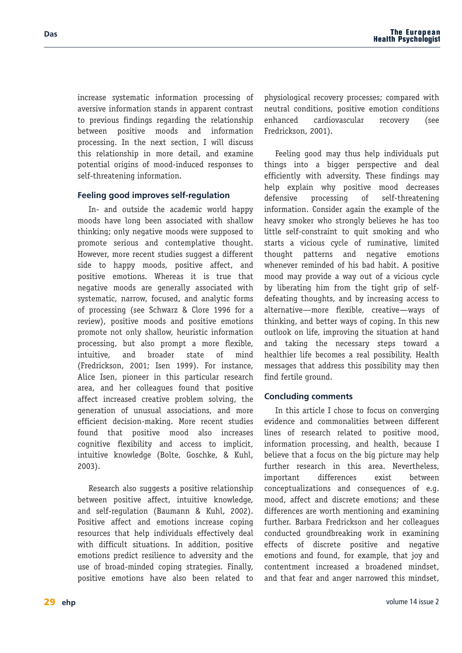increase systematic information processing of aversive information stands in apparent contrast to previous findings regarding the relationship between positive moods and information processing. In the next section, I will discuss this relationship in more detail, and examine potential origins of mood-induced responses to self-threatening information.

### **Feeling good improves self-regulation**

In- and outside the academic world happy moods have long been associated with shallow thinking; only negative moods were supposed to promote serious and contemplative thought. However, more recent studies suggest a different side to happy moods, positive affect, and positive emotions. Whereas it is true that negative moods are generally associated with systematic, narrow, focused, and analytic forms of processing (see Schwarz & Clore 1996 for a review), positive moods and positive emotions promote not only shallow, heuristic information processing, but also prompt a more flexible, intuitive, and broader state of mind (Fredrickson, 2001; Isen 1999). For instance, Alice Isen, pioneer in this particular research area, and her colleagues found that positive affect increased creative problem solving, the generation of unusual associations, and more efficient decision-making. More recent studies found that positive mood also increases cognitive flexibility and access to implicit, intuitive knowledge (Bolte, Goschke, & Kuhl, 2003).

Research also suggests a positive relationship between positive affect, intuitive knowledge, and self-regulation (Baumann & Kuhl, 2002). Positive affect and emotions increase coping resources that help individuals effectively deal with difficult situations. In addition, positive emotions predict resilience to adversity and the use of broad-minded coping strategies. Finally, positive emotions have also been related to physiological recovery processes; compared with neutral conditions, positive emotion conditions enhanced cardiovascular recovery (see Fredrickson, 2001).

Feeling good may thus help individuals put things into a bigger perspective and deal efficiently with adversity. These findings may help explain why positive mood decreases defensive processing of self-threatening information. Consider again the example of the heavy smoker who strongly believes he has too little self-constraint to quit smoking and who starts a vicious cycle of ruminative, limited thought patterns and negative emotions whenever reminded of his bad habit. A positive mood may provide a way out of a vicious cycle by liberating him from the tight grip of selfdefeating thoughts, and by increasing access to alternative—more flexible, creative—ways of thinking, and better ways of coping. In this new outlook on life, improving the situation at hand and taking the necessary steps toward a healthier life becomes a real possibility. Health messages that address this possibility may then find fertile ground.

### **Concluding comments**

In this article I chose to focus on converging evidence and commonalities between different lines of research related to positive mood, information processing, and health, because I believe that a focus on the big picture may help further research in this area. Nevertheless, important differences exist between conceptualizations and consequences of e.g. mood, affect and discrete emotions; and these differences are worth mentioning and examining further. Barbara Fredrickson and her colleagues conducted groundbreaking work in examining effects of discrete positive and negative emotions and found, for example, that joy and contentment increased a broadened mindset, and that fear and anger narrowed this mindset,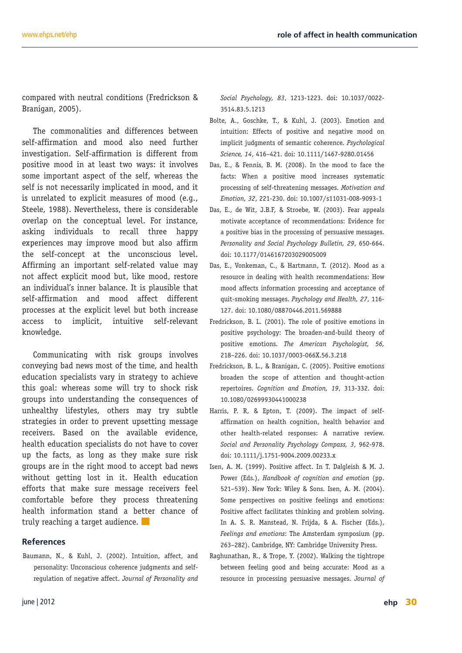compared with neutral conditions (Fredrickson & Branigan, 2005).

The commonalities and differences between self-affirmation and mood also need further investigation. Self-affirmation is different from positive mood in at least two ways: it involves some important aspect of the self, whereas the self is not necessarily implicated in mood, and it is unrelated to explicit measures of mood (e.g., Steele, 1988). Nevertheless, there is considerable overlap on the conceptual level. For instance, asking individuals to recall three happy experiences may improve mood but also affirm the self-concept at the unconscious level. Affirming an important self-related value may not affect explicit mood but, like mood, restore an individual's inner balance. It is plausible that self-affirmation and mood affect different processes at the explicit level but both increase access to implicit, intuitive self-relevant knowledge.

Communicating with risk groups involves conveying bad news most of the time, and health education specialists vary in strategy to achieve this goal: whereas some will try to shock risk groups into understanding the consequences of unhealthy lifestyles, others may try subtle strategies in order to prevent upsetting message receivers. Based on the available evidence, health education specialists do not have to cover up the facts, as long as they make sure risk groups are in the right mood to accept bad news without getting lost in it. Health education efforts that make sure message receivers feel comfortable before they process threatening health information stand a better chance of truly reaching a target audience.

#### **References**

Baumann, N., & Kuhl, J. (2002). Intuition, affect, and personality: Unconscious coherence judgments and selfregulation of negative affect. *Journal of Personality and* *Social Psychology, 83*, 1213-1223. doi: 10.1037/0022- 3514.83.5.1213

- Bolte, A., Goschke, T., & Kuhl, J. (2003). Emotion and intuition: Effects of positive and negative mood on implicit judgments of semantic coherence. *Psychological Science, 14*, 416–421. doi: 10.1111/1467-9280.01456
- Das, E., & Fennis, B. M. (2008). In the mood to face the facts: When a positive mood increases systematic processing of self-threatening messages. *Motivation and Emotion, 32*, 221-230. doi: 10.1007/s11031-008-9093-1
- Das, E., de Wit, J.B.F, & Stroebe, W. (2003). Fear appeals motivate acceptance of recommendations: Evidence for a positive bias in the processing of persuasive messages. *Personality and Social Psychology Bulletin, 29*, 650-664. doi: 10.1177/0146167203029005009
- Das, E., Vonkeman, C., & Hartmann, T. (2012). Mood as a resource in dealing with health recommendations: How mood affects information processing and acceptance of quit-smoking messages. *Psychology and Health, 27*, 116- 127. doi: 10.1080/08870446.2011.569888
- Fredrickson, B. L. (2001). The role of positive emotions in positive psychology: The broaden-and-build theory of positive emotions. *The American Psychologist, 56,* 218–226. doi: 10.1037/0003-066X.56.3.218
- Fredrickson, B. L., & Branigan, C. (2005). Positive emotions broaden the scope of attention and thought-action repertoires. *Cognition and Emotion, 19*, 313-332. doi: 10.1080/02699930441000238
- Harris, P. R, & Epton, T. (2009). The impact of selfaffirmation on health cognition, health behavior and other health-related responses: A narrative review. *Social and Personality Psychology Compass, 3*, 962-978. doi: 10.1111/j.1751-9004.2009.00233.x
- Isen, A. M. (1999). Positive affect. In T. Dalgleish & M. J. Power (Eds.), *Handbook of cognition and emotion* (pp. 521–539). New York: Wiley & Sons. Isen, A. M. (2004). Some perspectives on positive feelings and emotions: Positive affect facilitates thinking and problem solving. In A. S. R. Manstead, N. Frijda, & A. Fischer (Eds.), *Feelings and emotions*: The Amsterdam symposium (pp. 263–282). Cambridge, NY: Cambridge University Press.
- Raghunathan, R., & Trope, Y. (2002). Walking the tightrope between feeling good and being accurate: Mood as a resource in processing persuasive messages. *Journal of*